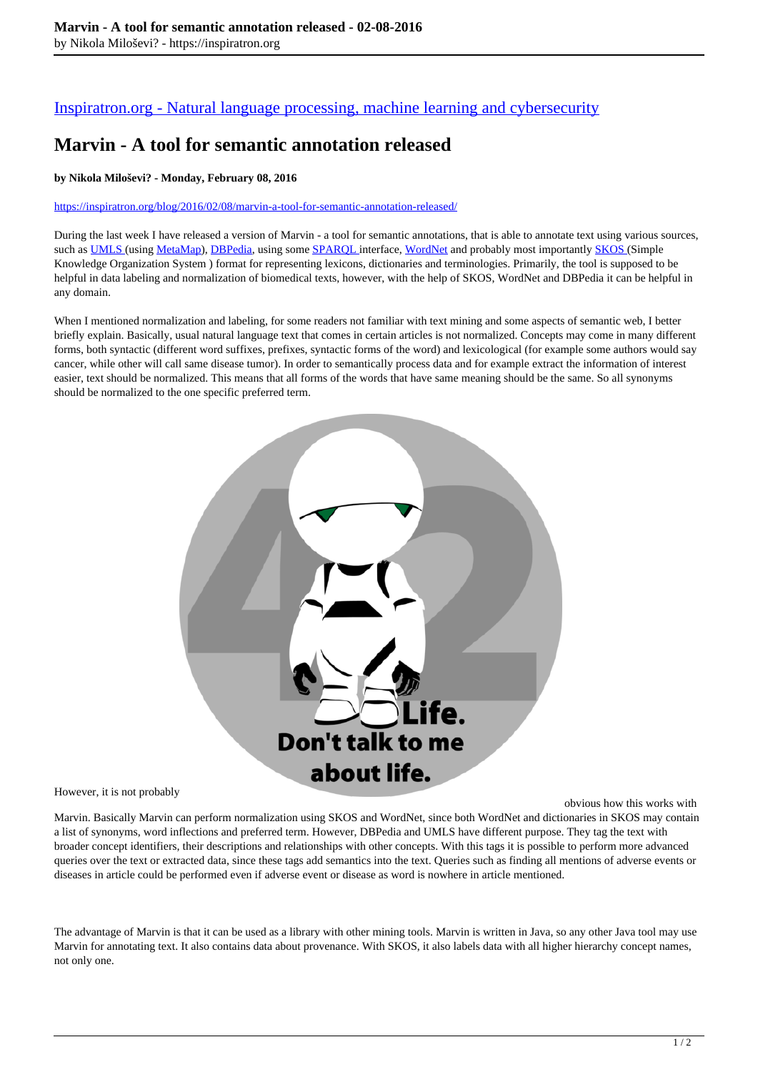## [Inspiratron.org - Natural language processing, machine learning and cybersecurity](https://inspiratron.org)

# **Marvin - A tool for semantic annotation released**

#### **by Nikola Miloševi? - Monday, February 08, 2016**

#### https://inspiratron.org/blog/2016/02/08/marvin-a-tool-for-semantic-annotation-released/

During the last week I have released a version of Marvin - a tool for semantic annotations, that is able to annotate text using various sources, such as UMLS (using MetaMap), DBPedia, using some SPAROL interface, WordNet and probably most importantly SKOS (Simple Knowledge Organization System ) format for representing lexicons, dictionaries and terminologies. Primarily, the tool is supposed to be helpful in data labeling and normalization of biomedical texts, however, with the help of SKOS, WordNet and DBPedia it can be helpful in any domain.

When I mentioned normalization and labeling, for some readers not familiar with text mining and some aspects of semantic web, I better briefly explain. Basically, usual natural language text that comes in certain articles is not normalized. Concepts may come in many different forms, both syntactic (different word suffixes, prefixes, syntactic forms of the word) and lexicological (for example some authors would say cancer, while other will call same disease tumor). In order to semantically process data and for example extract the information of interest easier, text should be normalized. This means that all forms of the words that have same meaning should be the same. So all synonyms should be normalized to the one specific preferred term.



However, it is not probably

obvious how this works with

Marvin. Basically Marvin can perform normalization using SKOS and WordNet, since both WordNet and dictionaries in SKOS may contain a list of synonyms, word inflections and preferred term. However, DBPedia and UMLS have different purpose. They tag the text with broader concept identifiers, their descriptions and relationships with other concepts. With this tags it is possible to perform more advanced queries over the text or extracted data, since these tags add semantics into the text. Queries such as finding all mentions of adverse events or diseases in article could be performed even if adverse event or disease as word is nowhere in article mentioned.

The advantage of Marvin is that it can be used as a library with other mining tools. Marvin is written in Java, so any other Java tool may use Marvin for annotating text. It also contains data about provenance. With SKOS, it also labels data with all higher hierarchy concept names, not only one.